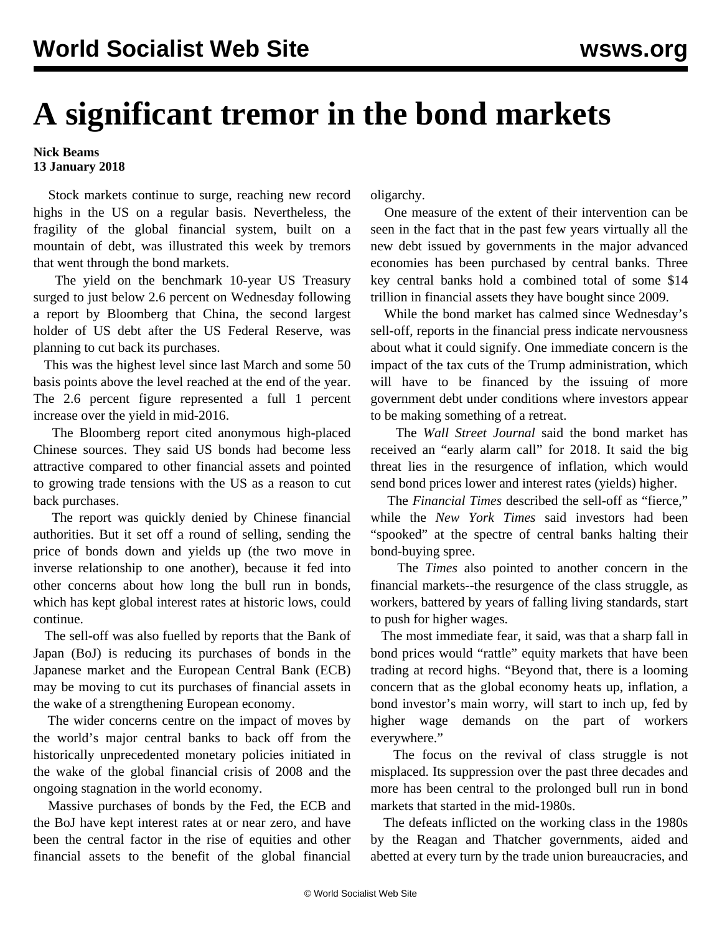## **A significant tremor in the bond markets**

**Nick Beams 13 January 2018**

 Stock markets continue to surge, reaching new record highs in the US on a regular basis. Nevertheless, the fragility of the global financial system, built on a mountain of debt, was illustrated this week by tremors that went through the bond markets.

 The yield on the benchmark 10-year US Treasury surged to just below 2.6 percent on Wednesday following a report by Bloomberg that China, the second largest holder of US debt after the US Federal Reserve, was planning to cut back its purchases.

 This was the highest level since last March and some 50 basis points above the level reached at the end of the year. The 2.6 percent figure represented a full 1 percent increase over the yield in mid-2016.

 The Bloomberg report cited anonymous high-placed Chinese sources. They said US bonds had become less attractive compared to other financial assets and pointed to growing trade tensions with the US as a reason to cut back purchases.

 The report was quickly denied by Chinese financial authorities. But it set off a round of selling, sending the price of bonds down and yields up (the two move in inverse relationship to one another), because it fed into other concerns about how long the bull run in bonds, which has kept global interest rates at historic lows, could continue.

 The sell-off was also fuelled by reports that the Bank of Japan (BoJ) is reducing its purchases of bonds in the Japanese market and the European Central Bank (ECB) may be moving to cut its purchases of financial assets in the wake of a strengthening European economy.

 The wider concerns centre on the impact of moves by the world's major central banks to back off from the historically unprecedented monetary policies initiated in the wake of the global financial crisis of 2008 and the ongoing stagnation in the world economy.

 Massive purchases of bonds by the Fed, the ECB and the BoJ have kept interest rates at or near zero, and have been the central factor in the rise of equities and other financial assets to the benefit of the global financial

oligarchy.

 One measure of the extent of their intervention can be seen in the fact that in the past few years virtually all the new debt issued by governments in the major advanced economies has been purchased by central banks. Three key central banks hold a combined total of some \$14 trillion in financial assets they have bought since 2009.

 While the bond market has calmed since Wednesday's sell-off, reports in the financial press indicate nervousness about what it could signify. One immediate concern is the impact of the tax cuts of the Trump administration, which will have to be financed by the issuing of more government debt under conditions where investors appear to be making something of a retreat.

 The *Wall Street Journal* said the bond market has received an "early alarm call" for 2018. It said the big threat lies in the resurgence of inflation, which would send bond prices lower and interest rates (yields) higher.

 The *Financial Times* described the sell-off as "fierce," while the *New York Times* said investors had been "spooked" at the spectre of central banks halting their bond-buying spree.

 The *Times* also pointed to another concern in the financial markets--the resurgence of the class struggle, as workers, battered by years of falling living standards, start to push for higher wages.

 The most immediate fear, it said, was that a sharp fall in bond prices would "rattle" equity markets that have been trading at record highs. "Beyond that, there is a looming concern that as the global economy heats up, inflation, a bond investor's main worry, will start to inch up, fed by higher wage demands on the part of workers everywhere."

 The focus on the revival of class struggle is not misplaced. Its suppression over the past three decades and more has been central to the prolonged bull run in bond markets that started in the mid-1980s.

 The defeats inflicted on the working class in the 1980s by the Reagan and Thatcher governments, aided and abetted at every turn by the trade union bureaucracies, and